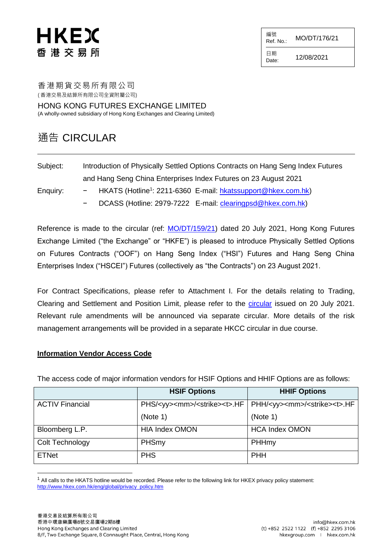## HKEX 香 港 交 易 所

編號  $R$ ef. No.: MO/DT/176/21

日期  $D_{\text{date}:}$  12/08/2021

香港期貨交易所有限公司

( 香港交易及結算所有限公司全資附屬公司)

HONG KONG FUTURES EXCHANGE LIMITED (A wholly-owned subsidiary of Hong Kong Exchanges and Clearing Limited)

#### 通告 CIRCULAR

| Subject: | Introduction of Physically Settled Options Contracts on Hang Seng Index Futures |
|----------|---------------------------------------------------------------------------------|
|          | and Hang Seng China Enterprises Index Futures on 23 August 2021                 |

- Enquiry: − HKATS (Hotline<sup>1</sup>: 2211-6360 E-mail: <u>hkatssupport@hkex.com.hk</u>)
	- DCASS (Hotline: 2979-7222 E-mail: *clearingpsd@hkex.com.hk*)

Reference is made to the circular (ref: [MO/DT/159/21\)](https://www.hkex.com.hk/-/media/HKEX-Market/Services/Circulars-and-Notices/Participant-and-Members-Circulars/HKFE/2021/MO_DT_159_21_e.pdf) dated 20 July 2021, Hong Kong Futures Exchange Limited ("the Exchange" or "HKFE") is pleased to introduce Physically Settled Options on Futures Contracts ("OOF") on Hang Seng Index ("HSI") Futures and Hang Seng China Enterprises Index ("HSCEI") Futures (collectively as "the Contracts") on 23 August 2021.

For Contract Specifications, please refer to Attachment I. For the details relating to Trading, Clearing and Settlement and Position Limit, please refer to the [circular](https://www.hkex.com.hk/-/media/HKEX-Market/Services/Circulars-and-Notices/Participant-and-Members-Circulars/HKFE/2021/MO_DT_159_21_e.pdf) issued on 20 July 2021. Relevant rule amendments will be announced via separate circular. More details of the risk management arrangements will be provided in a separate HKCC circular in due course.

#### **Information Vendor Access Code**

l

The access code of major information vendors for HSIF Options and HHIF Options are as follows:

|                        | <b>HSIF Options</b>   | <b>HHIF Options</b>                                                                                      |
|------------------------|-----------------------|----------------------------------------------------------------------------------------------------------|
| <b>ACTIV Financial</b> |                       | PHS/ <yy><mm>/<strike><t>.HF   PHH/<yy><mm>/<strike><t>.HF</t></strike></mm></yy></t></strike></mm></yy> |
|                        | (Note 1)              | (Note 1)                                                                                                 |
| Bloomberg L.P.         | <b>HIA Index OMON</b> | <b>HCA Index OMON</b>                                                                                    |
| Colt Technology        | PHSmy                 | PHHmy                                                                                                    |
| <b>ETNet</b>           | <b>PHS</b>            | <b>PHH</b>                                                                                               |

 $1$  All calls to the HKATS hotline would be recorded. Please refer to the following link for HKEX privacy policy statement: [http://www.hkex.com.hk/eng/global/privacy\\_policy.htm](http://www.hkex.com.hk/eng/global/privacy_policy.htm)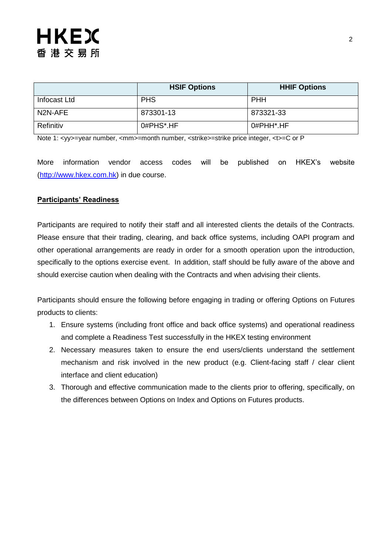|              | <b>HSIF Options</b> | <b>HHIF Options</b>    |
|--------------|---------------------|------------------------|
| Infocast Ltd | <b>PHS</b>          | <b>PHH</b>             |
| N2N-AFE      | 873301-13           | 873321-33              |
| Refinitiv    | 0#PHS*.HF           | 0#PHH <sup>*</sup> .HF |

Note 1: <yy>=year number, <mm>=month number, <strike>=strike price integer, <t>=C or P

More information vendor access codes will be published on HKEX's website [\(http://www.hkex.com.hk\)](http://www.hkex.com.hk/) in due course.

#### **Participants' Readiness**

Participants are required to notify their staff and all interested clients the details of the Contracts. Please ensure that their trading, clearing, and back office systems, including OAPI program and other operational arrangements are ready in order for a smooth operation upon the introduction, specifically to the options exercise event. In addition, staff should be fully aware of the above and should exercise caution when dealing with the Contracts and when advising their clients.

Participants should ensure the following before engaging in trading or offering Options on Futures products to clients:

- 1. Ensure systems (including front office and back office systems) and operational readiness and complete a Readiness Test successfully in the HKEX testing environment
- 2. Necessary measures taken to ensure the end users/clients understand the settlement mechanism and risk involved in the new product (e.g. Client-facing staff / clear client interface and client education)
- 3. Thorough and effective communication made to the clients prior to offering, specifically, on the differences between Options on Index and Options on Futures products.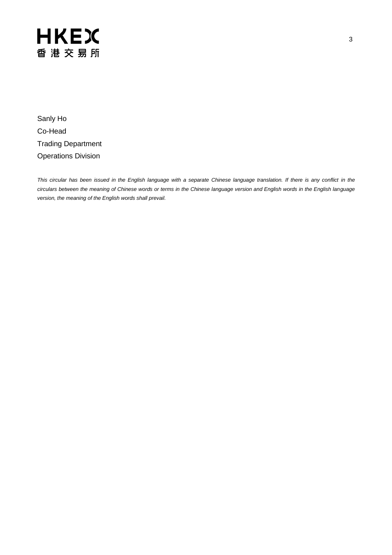Sanly Ho Co-Head Trading Department Operations Division

*This circular has been issued in the English language with a separate Chinese language translation. If there is any conflict in the circulars between the meaning of Chinese words or terms in the Chinese language version and English words in the English language version, the meaning of the English words shall prevail.*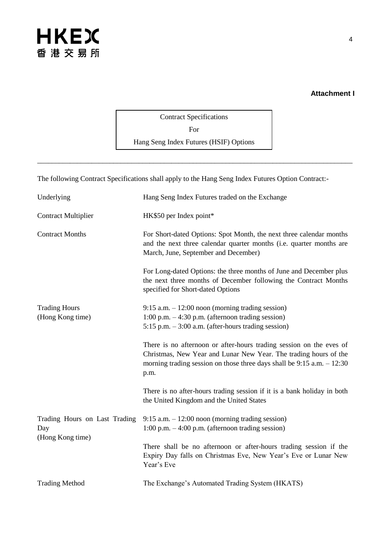#### **Attachment I**

Contract Specifications For Hang Seng Index Futures (HSIF) Options

\_\_\_\_\_\_\_\_\_\_\_\_\_\_\_\_\_\_\_\_\_\_\_\_\_\_\_\_\_\_\_\_\_\_\_\_\_\_\_\_\_\_\_\_\_\_\_\_\_\_\_\_\_\_\_\_\_\_\_\_\_\_\_\_\_\_\_\_\_\_\_\_\_\_\_\_\_\_\_\_\_\_\_\_\_\_\_

The following Contract Specifications shall apply to the Hang Seng Index Futures Option Contract:-

| Underlying                                               | Hang Seng Index Futures traded on the Exchange                                                                                                                                                                               |
|----------------------------------------------------------|------------------------------------------------------------------------------------------------------------------------------------------------------------------------------------------------------------------------------|
| <b>Contract Multiplier</b>                               | HK\$50 per Index point*                                                                                                                                                                                                      |
| <b>Contract Months</b>                                   | For Short-dated Options: Spot Month, the next three calendar months<br>and the next three calendar quarter months (i.e. quarter months are<br>March, June, September and December)                                           |
|                                                          | For Long-dated Options: the three months of June and December plus<br>the next three months of December following the Contract Months<br>specified for Short-dated Options                                                   |
| <b>Trading Hours</b><br>(Hong Kong time)                 | $9:15$ a.m. $-12:00$ noon (morning trading session)<br>$1:00$ p.m. $-4:30$ p.m. (afternoon trading session)<br>$5:15$ p.m. $-3:00$ a.m. (after-hours trading session)                                                        |
|                                                          | There is no afternoon or after-hours trading session on the eves of<br>Christmas, New Year and Lunar New Year. The trading hours of the<br>morning trading session on those three days shall be $9:15$ a.m. $-12:30$<br>p.m. |
|                                                          | There is no after-hours trading session if it is a bank holiday in both<br>the United Kingdom and the United States                                                                                                          |
| Trading Hours on Last Trading<br>Day<br>(Hong Kong time) | $9:15$ a.m. $-12:00$ noon (morning trading session)<br>$1:00$ p.m. $-4:00$ p.m. (afternoon trading session)                                                                                                                  |
|                                                          | There shall be no afternoon or after-hours trading session if the<br>Expiry Day falls on Christmas Eve, New Year's Eve or Lunar New<br>Year's Eve                                                                            |
| <b>Trading Method</b>                                    | The Exchange's Automated Trading System (HKATS)                                                                                                                                                                              |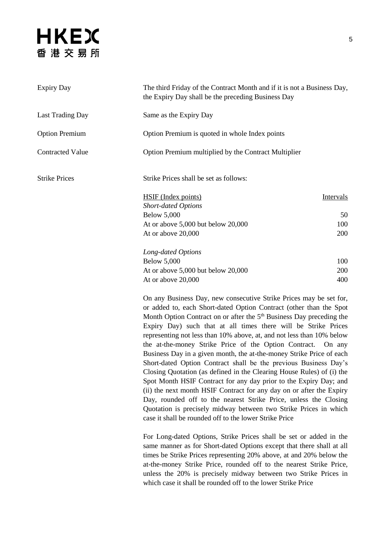| <b>Expiry Day</b>       | The third Friday of the Contract Month and if it is not a Business Day,<br>the Expiry Day shall be the preceding Business Day                                                                                                |                  |
|-------------------------|------------------------------------------------------------------------------------------------------------------------------------------------------------------------------------------------------------------------------|------------------|
| <b>Last Trading Day</b> | Same as the Expiry Day                                                                                                                                                                                                       |                  |
| <b>Option Premium</b>   | Option Premium is quoted in whole Index points                                                                                                                                                                               |                  |
| <b>Contracted Value</b> | Option Premium multiplied by the Contract Multiplier                                                                                                                                                                         |                  |
| <b>Strike Prices</b>    | Strike Prices shall be set as follows:                                                                                                                                                                                       |                  |
|                         | <b>HSIF</b> (Index points)                                                                                                                                                                                                   | <b>Intervals</b> |
|                         | <b>Short-dated Options</b>                                                                                                                                                                                                   |                  |
|                         | <b>Below 5,000</b>                                                                                                                                                                                                           | 50               |
|                         | At or above $5,000$ but below $20,000$                                                                                                                                                                                       | 100              |
|                         | At or above 20,000                                                                                                                                                                                                           | 200              |
|                         | Long-dated Options                                                                                                                                                                                                           |                  |
|                         | <b>Below 5,000</b>                                                                                                                                                                                                           | 100              |
|                         | At or above $5,000$ but below $20,000$                                                                                                                                                                                       | <b>200</b>       |
|                         | At or above 20,000                                                                                                                                                                                                           | 400              |
|                         | On any Business Day, new consecutive Strike Prices may be set for,<br>or added to, each Short-dated Option Contract (other than the Spot<br>Month Option Contract on or after the 5 <sup>th</sup> Business Day preceding the |                  |

Expiry Day) such that at all times there will be Strike Prices representing not less than 10% above, at, and not less than 10% below the at-the-money Strike Price of the Option Contract. On any Business Day in a given month, the at-the-money Strike Price of each Short-dated Option Contract shall be the previous Business Day's Closing Quotation (as defined in the Clearing House Rules) of (i) the Spot Month HSIF Contract for any day prior to the Expiry Day; and (ii) the next month HSIF Contract for any day on or after the Expiry Day, rounded off to the nearest Strike Price, unless the Closing Quotation is precisely midway between two Strike Prices in which case it shall be rounded off to the lower Strike Price

For Long-dated Options, Strike Prices shall be set or added in the same manner as for Short-dated Options except that there shall at all times be Strike Prices representing 20% above, at and 20% below the at-the-money Strike Price, rounded off to the nearest Strike Price, unless the 20% is precisely midway between two Strike Prices in which case it shall be rounded off to the lower Strike Price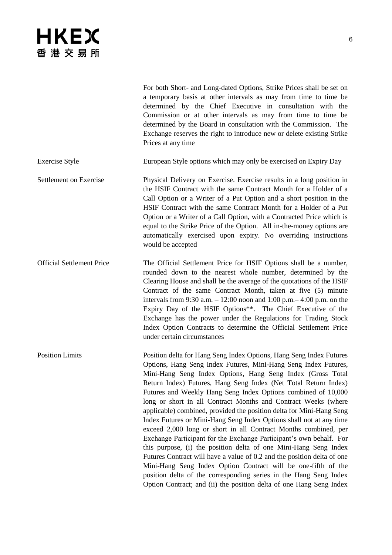For both Short- and Long-dated Options, Strike Prices shall be set on a temporary basis at other intervals as may from time to time be determined by the Chief Executive in consultation with the Commission or at other intervals as may from time to time be determined by the Board in consultation with the Commission. The Exchange reserves the right to introduce new or delete existing Strike Prices at any time

Exercise Style European Style options which may only be exercised on Expiry Day

Settlement on Exercise Physical Delivery on Exercise. Exercise results in a long position in the HSIF Contract with the same Contract Month for a Holder of a Call Option or a Writer of a Put Option and a short position in the HSIF Contract with the same Contract Month for a Holder of a Put Option or a Writer of a Call Option, with a Contracted Price which is equal to the Strike Price of the Option. All in-the-money options are automatically exercised upon expiry. No overriding instructions would be accepted

Official Settlement Price The Official Settlement Price for HSIF Options shall be a number, rounded down to the nearest whole number, determined by the Clearing House and shall be the average of the quotations of the HSIF Contract of the same Contract Month, taken at five (5) minute intervals from 9:30 a.m. – 12:00 noon and 1:00 p.m.– 4:00 p.m. on the Expiry Day of the HSIF Options\*\*. The Chief Executive of the Exchange has the power under the Regulations for Trading Stock Index Option Contracts to determine the Official Settlement Price under certain circumstances

Position Limits Position delta for Hang Seng Index Options, Hang Seng Index Futures Options, Hang Seng Index Futures, Mini-Hang Seng Index Futures, Mini-Hang Seng Index Options, Hang Seng Index (Gross Total Return Index) Futures, Hang Seng Index (Net Total Return Index) Futures and Weekly Hang Seng Index Options combined of 10,000 long or short in all Contract Months and Contract Weeks (where applicable) combined, provided the position delta for Mini-Hang Seng Index Futures or Mini-Hang Seng Index Options shall not at any time exceed 2,000 long or short in all Contract Months combined, per Exchange Participant for the Exchange Participant's own behalf. For this purpose, (i) the position delta of one Mini-Hang Seng Index Futures Contract will have a value of 0.2 and the position delta of one Mini-Hang Seng Index Option Contract will be one-fifth of the position delta of the corresponding series in the Hang Seng Index Option Contract; and (ii) the position delta of one Hang Seng Index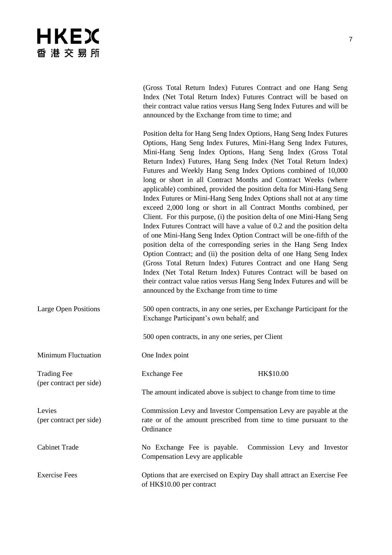|                                               | (Gross Total Return Index) Futures Contract and one Hang Seng<br>Index (Net Total Return Index) Futures Contract will be based on<br>their contract value ratios versus Hang Seng Index Futures and will be<br>announced by the Exchange from time to time; and                                                                                                                                                                                                                                                                                                                                                                                                                                                                                                                                                                                                                                                                                                                                                                                                                                                                                                                                                                                                    |
|-----------------------------------------------|--------------------------------------------------------------------------------------------------------------------------------------------------------------------------------------------------------------------------------------------------------------------------------------------------------------------------------------------------------------------------------------------------------------------------------------------------------------------------------------------------------------------------------------------------------------------------------------------------------------------------------------------------------------------------------------------------------------------------------------------------------------------------------------------------------------------------------------------------------------------------------------------------------------------------------------------------------------------------------------------------------------------------------------------------------------------------------------------------------------------------------------------------------------------------------------------------------------------------------------------------------------------|
|                                               | Position delta for Hang Seng Index Options, Hang Seng Index Futures<br>Options, Hang Seng Index Futures, Mini-Hang Seng Index Futures,<br>Mini-Hang Seng Index Options, Hang Seng Index (Gross Total<br>Return Index) Futures, Hang Seng Index (Net Total Return Index)<br>Futures and Weekly Hang Seng Index Options combined of 10,000<br>long or short in all Contract Months and Contract Weeks (where<br>applicable) combined, provided the position delta for Mini-Hang Seng<br>Index Futures or Mini-Hang Seng Index Options shall not at any time<br>exceed 2,000 long or short in all Contract Months combined, per<br>Client. For this purpose, (i) the position delta of one Mini-Hang Seng<br>Index Futures Contract will have a value of 0.2 and the position delta<br>of one Mini-Hang Seng Index Option Contract will be one-fifth of the<br>position delta of the corresponding series in the Hang Seng Index<br>Option Contract; and (ii) the position delta of one Hang Seng Index<br>(Gross Total Return Index) Futures Contract and one Hang Seng<br>Index (Net Total Return Index) Futures Contract will be based on<br>their contract value ratios versus Hang Seng Index Futures and will be<br>announced by the Exchange from time to time |
| <b>Large Open Positions</b>                   | 500 open contracts, in any one series, per Exchange Participant for the<br>Exchange Participant's own behalf; and                                                                                                                                                                                                                                                                                                                                                                                                                                                                                                                                                                                                                                                                                                                                                                                                                                                                                                                                                                                                                                                                                                                                                  |
|                                               | 500 open contracts, in any one series, per Client                                                                                                                                                                                                                                                                                                                                                                                                                                                                                                                                                                                                                                                                                                                                                                                                                                                                                                                                                                                                                                                                                                                                                                                                                  |
| <b>Minimum Fluctuation</b>                    | One Index point                                                                                                                                                                                                                                                                                                                                                                                                                                                                                                                                                                                                                                                                                                                                                                                                                                                                                                                                                                                                                                                                                                                                                                                                                                                    |
| <b>Trading Fee</b><br>(per contract per side) | HK\$10.00<br><b>Exchange Fee</b>                                                                                                                                                                                                                                                                                                                                                                                                                                                                                                                                                                                                                                                                                                                                                                                                                                                                                                                                                                                                                                                                                                                                                                                                                                   |
|                                               | The amount indicated above is subject to change from time to time                                                                                                                                                                                                                                                                                                                                                                                                                                                                                                                                                                                                                                                                                                                                                                                                                                                                                                                                                                                                                                                                                                                                                                                                  |
| Levies<br>(per contract per side)             | Commission Levy and Investor Compensation Levy are payable at the<br>rate or of the amount prescribed from time to time pursuant to the<br>Ordinance                                                                                                                                                                                                                                                                                                                                                                                                                                                                                                                                                                                                                                                                                                                                                                                                                                                                                                                                                                                                                                                                                                               |
| <b>Cabinet Trade</b>                          | No Exchange Fee is payable.<br>Commission Levy and Investor<br>Compensation Levy are applicable                                                                                                                                                                                                                                                                                                                                                                                                                                                                                                                                                                                                                                                                                                                                                                                                                                                                                                                                                                                                                                                                                                                                                                    |
| <b>Exercise Fees</b>                          | Options that are exercised on Expiry Day shall attract an Exercise Fee<br>of HK\$10.00 per contract                                                                                                                                                                                                                                                                                                                                                                                                                                                                                                                                                                                                                                                                                                                                                                                                                                                                                                                                                                                                                                                                                                                                                                |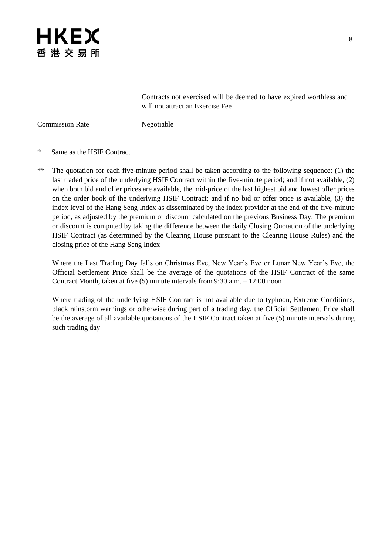

Contracts not exercised will be deemed to have expired worthless and will not attract an Exercise Fee

Commission Rate Negotiable

- \* Same as the HSIF Contract
- \*\* The quotation for each five-minute period shall be taken according to the following sequence: (1) the last traded price of the underlying HSIF Contract within the five-minute period; and if not available, (2) when both bid and offer prices are available, the mid-price of the last highest bid and lowest offer prices on the order book of the underlying HSIF Contract; and if no bid or offer price is available, (3) the index level of the Hang Seng Index as disseminated by the index provider at the end of the five-minute period, as adjusted by the premium or discount calculated on the previous Business Day. The premium or discount is computed by taking the difference between the daily Closing Quotation of the underlying HSIF Contract (as determined by the Clearing House pursuant to the Clearing House Rules) and the closing price of the Hang Seng Index

Where the Last Trading Day falls on Christmas Eve, New Year's Eve or Lunar New Year's Eve, the Official Settlement Price shall be the average of the quotations of the HSIF Contract of the same Contract Month, taken at five (5) minute intervals from 9:30 a.m. – 12:00 noon

Where trading of the underlying HSIF Contract is not available due to typhoon, Extreme Conditions, black rainstorm warnings or otherwise during part of a trading day, the Official Settlement Price shall be the average of all available quotations of the HSIF Contract taken at five (5) minute intervals during such trading day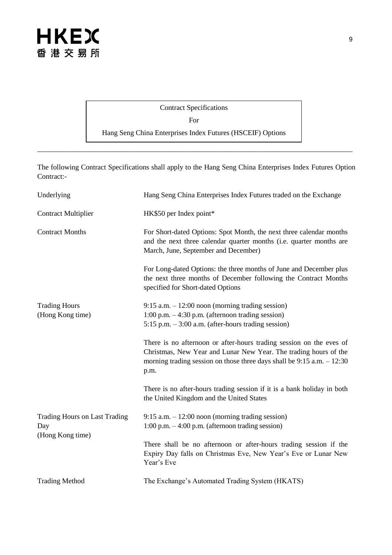#### Contract Specifications For Hang Seng China Enterprises Index Futures (HSCEIF) Options

\_\_\_\_\_\_\_\_\_\_\_\_\_\_\_\_\_\_\_\_\_\_\_\_\_\_\_\_\_\_\_\_\_\_\_\_\_\_\_\_\_\_\_\_\_\_\_\_\_\_\_\_\_\_\_\_\_\_\_\_\_\_\_\_\_\_\_\_\_\_\_\_\_\_\_\_\_\_\_\_\_\_\_\_\_\_\_

The following Contract Specifications shall apply to the Hang Seng China Enterprises Index Futures Option Contract:-

| Underlying                                                      | Hang Seng China Enterprises Index Futures traded on the Exchange                                                                                                                                                             |
|-----------------------------------------------------------------|------------------------------------------------------------------------------------------------------------------------------------------------------------------------------------------------------------------------------|
| <b>Contract Multiplier</b>                                      | HK\$50 per Index point*                                                                                                                                                                                                      |
| <b>Contract Months</b>                                          | For Short-dated Options: Spot Month, the next three calendar months<br>and the next three calendar quarter months (i.e. quarter months are<br>March, June, September and December)                                           |
|                                                                 | For Long-dated Options: the three months of June and December plus<br>the next three months of December following the Contract Months<br>specified for Short-dated Options                                                   |
| <b>Trading Hours</b>                                            | $9:15$ a.m. $-12:00$ noon (morning trading session)                                                                                                                                                                          |
| (Hong Kong time)                                                | 1:00 p.m. $-4:30$ p.m. (afternoon trading session)                                                                                                                                                                           |
|                                                                 | $5:15$ p.m. $-3:00$ a.m. (after-hours trading session)                                                                                                                                                                       |
|                                                                 | There is no afternoon or after-hours trading session on the eves of<br>Christmas, New Year and Lunar New Year. The trading hours of the<br>morning trading session on those three days shall be $9:15$ a.m. $-12:30$<br>p.m. |
|                                                                 | There is no after-hours trading session if it is a bank holiday in both<br>the United Kingdom and the United States                                                                                                          |
| <b>Trading Hours on Last Trading</b><br>Day<br>(Hong Kong time) | $9:15$ a.m. $-12:00$ noon (morning trading session)<br>$1:00$ p.m. $-4:00$ p.m. (afternoon trading session)                                                                                                                  |
|                                                                 | There shall be no afternoon or after-hours trading session if the<br>Expiry Day falls on Christmas Eve, New Year's Eve or Lunar New<br>Year's Eve                                                                            |
| <b>Trading Method</b>                                           | The Exchange's Automated Trading System (HKATS)                                                                                                                                                                              |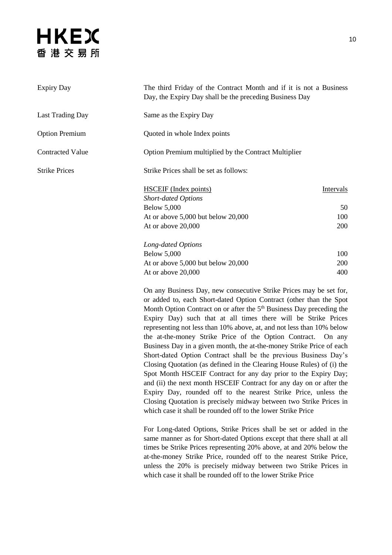| <b>Expiry Day</b>       | The third Friday of the Contract Month and if it is not a Business<br>Day, the Expiry Day shall be the preceding Business Day |           |
|-------------------------|-------------------------------------------------------------------------------------------------------------------------------|-----------|
| <b>Last Trading Day</b> | Same as the Expiry Day                                                                                                        |           |
| <b>Option Premium</b>   | Quoted in whole Index points                                                                                                  |           |
| <b>Contracted Value</b> | Option Premium multiplied by the Contract Multiplier                                                                          |           |
| <b>Strike Prices</b>    | Strike Prices shall be set as follows:                                                                                        |           |
|                         | <b>HSCEIF</b> (Index points)<br><b>Short-dated Options</b>                                                                    | Intervals |
|                         | <b>Below 5,000</b>                                                                                                            | 50        |
|                         | At or above $5,000$ but below $20,000$                                                                                        | 100       |
|                         | At or above 20,000                                                                                                            | 200       |
|                         | Long-dated Options                                                                                                            |           |
|                         | <b>Below 5,000</b>                                                                                                            | 100       |
|                         | At or above $5,000$ but below $20,000$                                                                                        | 200       |
|                         | At or above 20,000                                                                                                            | 400       |
|                         |                                                                                                                               |           |

On any Business Day, new consecutive Strike Prices may be set for, or added to, each Short-dated Option Contract (other than the Spot Month Option Contract on or after the  $5<sup>th</sup>$  Business Day preceding the Expiry Day) such that at all times there will be Strike Prices representing not less than 10% above, at, and not less than 10% below the at-the-money Strike Price of the Option Contract. On any Business Day in a given month, the at-the-money Strike Price of each Short-dated Option Contract shall be the previous Business Day's Closing Quotation (as defined in the Clearing House Rules) of (i) the Spot Month HSCEIF Contract for any day prior to the Expiry Day; and (ii) the next month HSCEIF Contract for any day on or after the Expiry Day, rounded off to the nearest Strike Price, unless the Closing Quotation is precisely midway between two Strike Prices in which case it shall be rounded off to the lower Strike Price

For Long-dated Options, Strike Prices shall be set or added in the same manner as for Short-dated Options except that there shall at all times be Strike Prices representing 20% above, at and 20% below the at-the-money Strike Price, rounded off to the nearest Strike Price, unless the 20% is precisely midway between two Strike Prices in which case it shall be rounded off to the lower Strike Price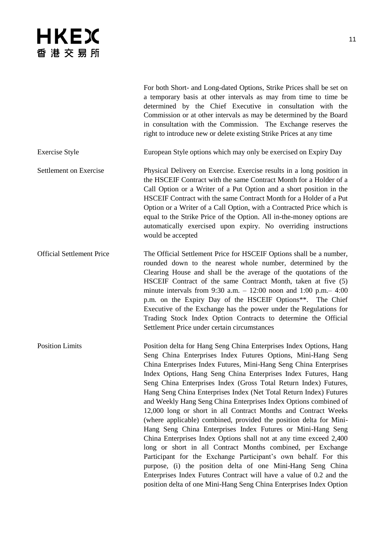|                                  | For both Short- and Long-dated Options, Strike Prices shall be set on<br>a temporary basis at other intervals as may from time to time be<br>determined by the Chief Executive in consultation with the<br>Commission or at other intervals as may be determined by the Board<br>in consultation with the Commission. The Exchange reserves the<br>right to introduce new or delete existing Strike Prices at any time                                                                                                                                                                                                                                                                                                                                                                                                                                                                                                                                                                                                                       |
|----------------------------------|----------------------------------------------------------------------------------------------------------------------------------------------------------------------------------------------------------------------------------------------------------------------------------------------------------------------------------------------------------------------------------------------------------------------------------------------------------------------------------------------------------------------------------------------------------------------------------------------------------------------------------------------------------------------------------------------------------------------------------------------------------------------------------------------------------------------------------------------------------------------------------------------------------------------------------------------------------------------------------------------------------------------------------------------|
| <b>Exercise Style</b>            | European Style options which may only be exercised on Expiry Day                                                                                                                                                                                                                                                                                                                                                                                                                                                                                                                                                                                                                                                                                                                                                                                                                                                                                                                                                                             |
| <b>Settlement on Exercise</b>    | Physical Delivery on Exercise. Exercise results in a long position in<br>the HSCEIF Contract with the same Contract Month for a Holder of a<br>Call Option or a Writer of a Put Option and a short position in the<br>HSCEIF Contract with the same Contract Month for a Holder of a Put<br>Option or a Writer of a Call Option, with a Contracted Price which is<br>equal to the Strike Price of the Option. All in-the-money options are<br>automatically exercised upon expiry. No overriding instructions<br>would be accepted                                                                                                                                                                                                                                                                                                                                                                                                                                                                                                           |
| <b>Official Settlement Price</b> | The Official Settlement Price for HSCEIF Options shall be a number,<br>rounded down to the nearest whole number, determined by the<br>Clearing House and shall be the average of the quotations of the<br>HSCEIF Contract of the same Contract Month, taken at five (5)<br>minute intervals from 9:30 a.m. $- 12:00$ noon and 1:00 p.m. $- 4:00$<br>p.m. on the Expiry Day of the HSCEIF Options**. The Chief<br>Executive of the Exchange has the power under the Regulations for<br>Trading Stock Index Option Contracts to determine the Official<br>Settlement Price under certain circumstances                                                                                                                                                                                                                                                                                                                                                                                                                                         |
| <b>Position Limits</b>           | Position delta for Hang Seng China Enterprises Index Options, Hang<br>Seng China Enterprises Index Futures Options, Mini-Hang Seng<br>China Enterprises Index Futures, Mini-Hang Seng China Enterprises<br>Index Options, Hang Seng China Enterprises Index Futures, Hang<br>Seng China Enterprises Index (Gross Total Return Index) Futures,<br>Hang Seng China Enterprises Index (Net Total Return Index) Futures<br>and Weekly Hang Seng China Enterprises Index Options combined of<br>12,000 long or short in all Contract Months and Contract Weeks<br>(where applicable) combined, provided the position delta for Mini-<br>Hang Seng China Enterprises Index Futures or Mini-Hang Seng<br>China Enterprises Index Options shall not at any time exceed 2,400<br>long or short in all Contract Months combined, per Exchange<br>Participant for the Exchange Participant's own behalf. For this<br>purpose, (i) the position delta of one Mini-Hang Seng China<br>Enterprises Index Futures Contract will have a value of 0.2 and the |

position delta of one Mini-Hang Seng China Enterprises Index Option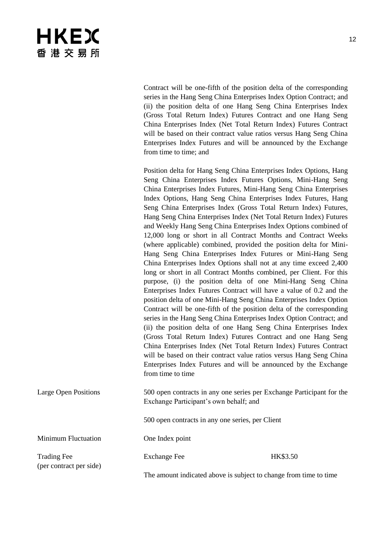| <b>HKEX</b><br>香 港 交 易 所                      |                                                                                                                                                                                                                                                                                                                                                                                                                                                                                                                                                                                                                                                                                                                                                                                                                                                                                                                                                                                                                                                                                                                                                                                                                                                                                                                                                                                                                                                                                                                                                                                    |          | 12 |
|-----------------------------------------------|------------------------------------------------------------------------------------------------------------------------------------------------------------------------------------------------------------------------------------------------------------------------------------------------------------------------------------------------------------------------------------------------------------------------------------------------------------------------------------------------------------------------------------------------------------------------------------------------------------------------------------------------------------------------------------------------------------------------------------------------------------------------------------------------------------------------------------------------------------------------------------------------------------------------------------------------------------------------------------------------------------------------------------------------------------------------------------------------------------------------------------------------------------------------------------------------------------------------------------------------------------------------------------------------------------------------------------------------------------------------------------------------------------------------------------------------------------------------------------------------------------------------------------------------------------------------------------|----------|----|
|                                               | Contract will be one-fifth of the position delta of the corresponding<br>series in the Hang Seng China Enterprises Index Option Contract; and<br>(ii) the position delta of one Hang Seng China Enterprises Index<br>(Gross Total Return Index) Futures Contract and one Hang Seng<br>China Enterprises Index (Net Total Return Index) Futures Contract<br>will be based on their contract value ratios versus Hang Seng China<br>Enterprises Index Futures and will be announced by the Exchange<br>from time to time; and                                                                                                                                                                                                                                                                                                                                                                                                                                                                                                                                                                                                                                                                                                                                                                                                                                                                                                                                                                                                                                                        |          |    |
|                                               | Position delta for Hang Seng China Enterprises Index Options, Hang<br>Seng China Enterprises Index Futures Options, Mini-Hang Seng<br>China Enterprises Index Futures, Mini-Hang Seng China Enterprises<br>Index Options, Hang Seng China Enterprises Index Futures, Hang<br>Seng China Enterprises Index (Gross Total Return Index) Futures,<br>Hang Seng China Enterprises Index (Net Total Return Index) Futures<br>and Weekly Hang Seng China Enterprises Index Options combined of<br>12,000 long or short in all Contract Months and Contract Weeks<br>(where applicable) combined, provided the position delta for Mini-<br>Hang Seng China Enterprises Index Futures or Mini-Hang Seng<br>China Enterprises Index Options shall not at any time exceed 2,400<br>long or short in all Contract Months combined, per Client. For this<br>purpose, (i) the position delta of one Mini-Hang Seng China<br>Enterprises Index Futures Contract will have a value of 0.2 and the<br>position delta of one Mini-Hang Seng China Enterprises Index Option<br>Contract will be one-fifth of the position delta of the corresponding<br>series in the Hang Seng China Enterprises Index Option Contract; and<br>(ii) the position delta of one Hang Seng China Enterprises Index<br>(Gross Total Return Index) Futures Contract and one Hang Seng<br>China Enterprises Index (Net Total Return Index) Futures Contract<br>will be based on their contract value ratios versus Hang Seng China<br>Enterprises Index Futures and will be announced by the Exchange<br>from time to time |          |    |
| Large Open Positions                          | 500 open contracts in any one series per Exchange Participant for the<br>Exchange Participant's own behalf; and                                                                                                                                                                                                                                                                                                                                                                                                                                                                                                                                                                                                                                                                                                                                                                                                                                                                                                                                                                                                                                                                                                                                                                                                                                                                                                                                                                                                                                                                    |          |    |
|                                               | 500 open contracts in any one series, per Client                                                                                                                                                                                                                                                                                                                                                                                                                                                                                                                                                                                                                                                                                                                                                                                                                                                                                                                                                                                                                                                                                                                                                                                                                                                                                                                                                                                                                                                                                                                                   |          |    |
| <b>Minimum Fluctuation</b>                    | One Index point                                                                                                                                                                                                                                                                                                                                                                                                                                                                                                                                                                                                                                                                                                                                                                                                                                                                                                                                                                                                                                                                                                                                                                                                                                                                                                                                                                                                                                                                                                                                                                    |          |    |
| <b>Trading Fee</b><br>(per contract per side) | <b>Exchange Fee</b>                                                                                                                                                                                                                                                                                                                                                                                                                                                                                                                                                                                                                                                                                                                                                                                                                                                                                                                                                                                                                                                                                                                                                                                                                                                                                                                                                                                                                                                                                                                                                                | HK\$3.50 |    |
|                                               | The amount indicated above is subject to change from time to time                                                                                                                                                                                                                                                                                                                                                                                                                                                                                                                                                                                                                                                                                                                                                                                                                                                                                                                                                                                                                                                                                                                                                                                                                                                                                                                                                                                                                                                                                                                  |          |    |